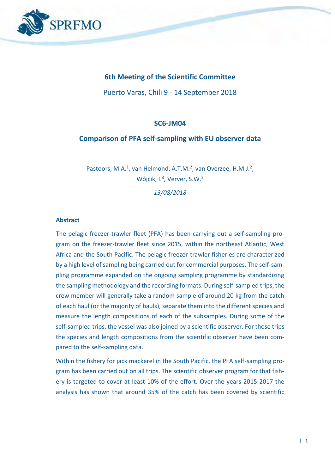

## **6th Meeting of the Scientific Committee**

Puerto Varas, Chili 9 - 14 September 2018

## **SC6-JM04**

### **Comparison of PFA self-sampling with EU observer data**

Pastoors, M.A.<sup>1</sup>, van Helmond, A.T.M.<sup>2</sup>, van Overzee, H.M.J.<sup>2</sup>, Wójcik, I.<sup>3</sup>, Verver, S.W.<sup>2</sup>

*13/08/2018*

### **Abstract**

The pelagic freezer-trawler fleet (PFA) has been carrying out a self-sampling program on the freezer-trawler fleet since 2015, within the northeast Atlantic, West Africa and the South Pacific. The pelagic freezer-trawler fisheries are characterized by a high level of sampling being carried out for commercial purposes. The self-sampling programme expanded on the ongoing sampling programme by standardizing the sampling methodology and the recording formats. During self-sampled trips, the crew member will generally take a random sample of around 20 kg from the catch of each haul (or the majority of hauls), separate them into the different species and measure the length compositions of each of the subsamples. During some of the self-sampled trips, the vessel was also joined by a scientific observer. For those trips the species and length compositions from the scientific observer have been compared to the self-sampling data.

Within the fishery for jack mackerel in the South Pacific, the PFA self-sampling program has been carried out on all trips. The scientific observer program for that fishery is targeted to cover at least 10% of the effort. Over the years 2015-2017 the analysis has shown that around 35% of the catch has been covered by scientific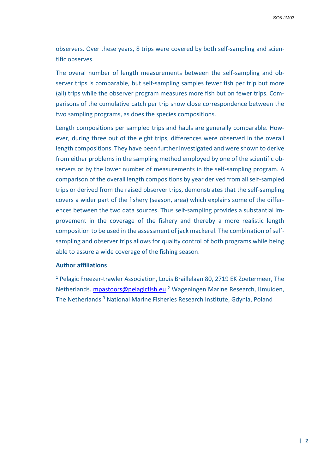SC6-JM03

observers. Over these years, 8 trips were covered by both self-sampling and scientific observes.

The overal number of length measurements between the self-sampling and observer trips is comparable, but self-sampling samples fewer fish per trip but more (all) trips while the observer program measures more fish but on fewer trips. Comparisons of the cumulative catch per trip show close correspondence between the two sampling programs, as does the species compositions.

Length compositions per sampled trips and hauls are generally comparable. However, during three out of the eight trips, differences were observed in the overall length compositions. They have been further investigated and were shown to derive from either problems in the sampling method employed by one of the scientific observers or by the lower number of measurements in the self-sampling program. A comparison of the overall length compositions by year derived from all self-sampled trips or derived from the raised observer trips, demonstrates that the self-sampling covers a wider part of the fishery (season, area) which explains some of the differences between the two data sources. Thus self-sampling provides a substantial improvement in the coverage of the fishery and thereby a more realistic length composition to be used in the assessment of jack mackerel. The combination of selfsampling and observer trips allows for quality control of both programs while being able to assure a wide coverage of the fishing season.

### **Author affiliations**

<sup>1</sup> Pelagic Freezer-trawler Association, Louis Braillelaan 80, 2719 EK Zoetermeer, The Netherlands. [mpastoors@pelagicfish.eu](mailto:mpastoors@pelagicfish.eu) <sup>2</sup> Wageningen Marine Research, IJmuiden, The Netherlands<sup>3</sup> National Marine Fisheries Research Institute, Gdynia, Poland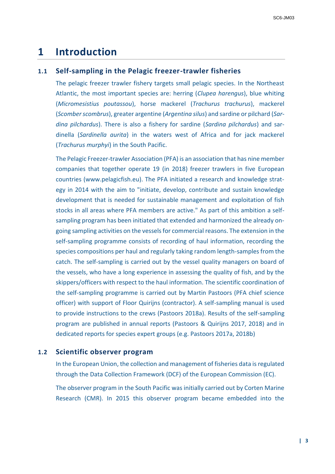# **1 Introduction**

# **1.1 Self-sampling in the Pelagic freezer-trawler fisheries**

The pelagic freezer trawler fishery targets small pelagic species. In the Northeast Atlantic, the most important species are: herring (*Clupea harengus*), blue whiting (*Micromesistius poutassou*), horse mackerel (*Trachurus trachurus*), mackerel (*Scomber scombrus*), greater argentine (*Argentina silus*) and sardine or pilchard (*Sardina pilchardus*). There is also a fishery for sardine (*Sardina pilchardus*) and sardinella (*Sardinella aurita*) in the waters west of Africa and for jack mackerel (*Trachurus murphyi*) in the South Pacific.

The Pelagic Freezer-trawler Association (PFA) is an association that has nine member companies that together operate 19 (in 2018) freezer trawlers in five European countries (www.pelagicfish.eu). The PFA initiated a research and knowledge strategy in 2014 with the aim to "initiate, develop, contribute and sustain knowledge development that is needed for sustainable management and exploitation of fish stocks in all areas where PFA members are active." As part of this ambition a selfsampling program has been initiated that extended and harmonized the already ongoing sampling activities on the vessels for commercial reasons. The extension in the self-sampling programme consists of recording of haul information, recording the species compositions per haul and regularly taking random length-samples from the catch. The self-sampling is carried out by the vessel quality managers on board of the vessels, who have a long experience in assessing the quality of fish, and by the skippers/officers with respect to the haul information. The scientific coordination of the self-sampling programme is carried out by Martin Pastoors (PFA chief science officer) with support of Floor Quirijns (contractor). A self-sampling manual is used to provide instructions to the crews (Pastoors 2018a). Results of the self-sampling program are published in annual reports (Pastoors & Quirijns 2017, 2018) and in dedicated reports for species expert groups (e.g. Pastoors 2017a, 2018b)

## **1.2 Scientific observer program**

In the European Union, the collection and management of fisheries data is regulated through the Data Collection Framework (DCF) of the European Commission (EC).

The observer program in the South Pacific was initially carried out by Corten Marine Research (CMR). In 2015 this observer program became embedded into the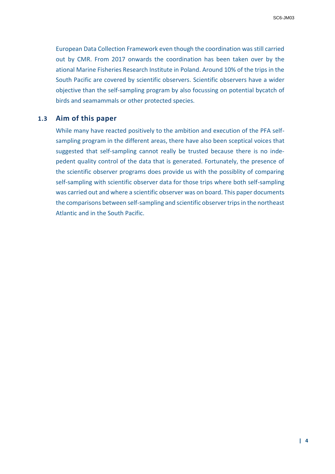European Data Collection Framework even though the coordination was still carried out by CMR. From 2017 onwards the coordination has been taken over by the ational Marine Fisheries Research Institute in Poland. Around 10% of the trips in the South Pacific are covered by scientific observers. Scientific observers have a wider objective than the self-sampling program by also focussing on potential bycatch of birds and seamammals or other protected species.

## **1.3 Aim of this paper**

While many have reacted positively to the ambition and execution of the PFA selfsampling program in the different areas, there have also been sceptical voices that suggested that self-sampling cannot really be trusted because there is no indepedent quality control of the data that is generated. Fortunately, the presence of the scientific observer programs does provide us with the possiblity of comparing self-sampling with scientific observer data for those trips where both self-sampling was carried out and where a scientific observer was on board. This paper documents the comparisons between self-sampling and scientific observer trips in the northeast Atlantic and in the South Pacific.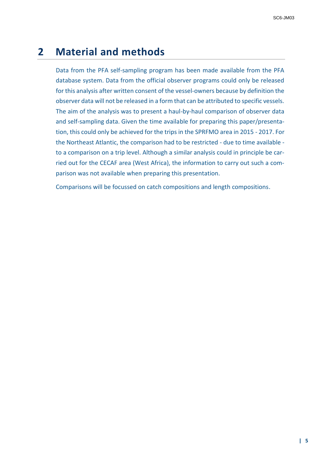# **2 Material and methods**

Data from the PFA self-sampling program has been made available from the PFA database system. Data from the official observer programs could only be released for this analysis after written consent of the vessel-owners because by definition the observer data will not be released in a form that can be attributed to specific vessels. The aim of the analysis was to present a haul-by-haul comparison of observer data and self-sampling data. Given the time available for preparing this paper/presentation, this could only be achieved for the trips in the SPRFMO area in 2015 - 2017. For the Northeast Atlantic, the comparison had to be restricted - due to time available to a comparison on a trip level. Although a similar analysis could in principle be carried out for the CECAF area (West Africa), the information to carry out such a comparison was not available when preparing this presentation.

Comparisons will be focussed on catch compositions and length compositions.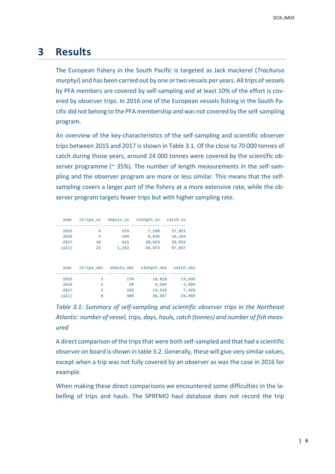# **3 Results**

The European fishery in the South Pacific is targeted as Jack mackerel (*Trachurus murphyi*) and has been carried out by one or two vessels per years. All trips of vessels by PFA members are covered by self-sampling and at least 10% of the effort is covered by observer trips. In 2016 one of the European vessels fishing in the South Pacific did not belong to the PFA membership and was not covered by the self-sampling program.

An overview of the key-characteristics of the self-sampling and scientific observer trips between 2015 and 2017 is shown in Table 3.1. Of the close to 70 000 tonnes of catch during those years, around 24 000 tonnes were covered by the scientific observer programme (~ 35%). The number of length measurements in the self-sampling and the observer program are more or less similar. This means that the selfsampling covers a larger part of the fishery at a more extensive rate, while the observer program targets fewer trips but with higher sampling rate.

|        | catch ss  |             | nhauls ss nlength ss | ntrips_ss      | year  |
|--------|-----------|-------------|----------------------|----------------|-------|
|        | 27,921    | 7,299       | 379                  | 9              | 2015  |
|        | 10,284    | 6,845       | 169                  | 4              | 2016  |
|        | 29,652    | 20,829      | 615                  | 10             | 2017  |
|        | 67,857    | 34,973      | 1,163                | 23             | (a11) |
|        |           |             |                      |                |       |
|        |           |             |                      |                |       |
|        | catch obs | nlength obs | nhauls obs           | ntrips obs     | year  |
| 13,935 |           | 18,810      | 176                  | 3              | 2015  |
| 2,694  |           | 5,594       | 50                   | $\overline{a}$ | 2016  |
| 7,429  |           | 14,533      | 183                  | 3              | 2017  |
| 24,058 |           | 38,937      | 409                  | 8              | (a11) |
|        |           |             |                      |                |       |

*Table 3.1: Summary of self-sampling and scientific observer trips in the Northeast Atlantic: number of vessel, trips, days, hauls, catch (tonnes) and number of fish measured*

A direct comparison of the trips that were both self-sampled and that had a scientific observer on board is shown in table 3.2. Generally, these will give very similar values, except when a trip was not fully covered by an observer as was the case in 2016 for example.

When making these direct comparisons we encountered some difficulties in the labelling of trips and hauls. The SPRFMO haul database does not record the trip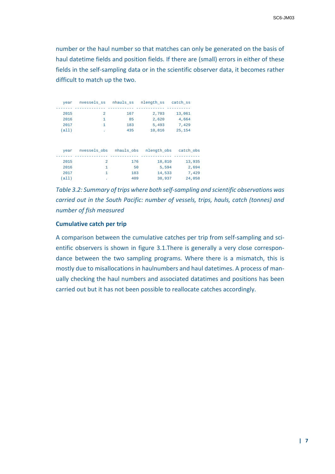number or the haul number so that matches can only be generated on the basis of haul datetime fields and position fields. If there are (small) errors in either of these fields in the self-sampling data or in the scientific observer data, it becomes rather difficult to match up the two.

|        | catch ss  | nlength ss  |            | nvessels ss mhauls ss | year  |
|--------|-----------|-------------|------------|-----------------------|-------|
|        |           |             |            |                       |       |
|        | 13,061    | 2,703       | 167        | $\mathfrak{D}$        | 2015  |
|        | 4,664     | 2,620       | 85         | 1                     | 2016  |
|        | 7,429     | 5,493       | 183        | 1                     | 2017  |
|        | 25,154    | 10,816      | 435        |                       | (a11) |
|        |           |             |            |                       |       |
|        |           |             |            |                       |       |
|        | catch obs | nlength obs | nhauls obs | nvessels obs          | year  |
|        |           |             |            |                       |       |
| 13,935 |           | 18,810      | 176        | $\overline{a}$        | 2015  |
| 2,694  |           | 5,594       | 50         | 1                     | 2016  |
| 7,429  |           | 14,533      | 183        | 1                     | 2017  |
| 24,058 |           | 38,937      | 409        | ٠                     | (a11) |

*Table 3.2: Summary of trips where both self-sampling and scientific observations was carried out in the South Pacific: number of vessels, trips, hauls, catch (tonnes) and number of fish measured*

#### **Cumulative catch per trip**

A comparison between the cumulative catches per trip from self-sampling and scientific observers is shown in figure 3.1.There is generally a very close correspondance between the two sampling programs. Where there is a mismatch, this is mostly due to misallocations in haulnumbers and haul datetimes. A process of manually checking the haul numbers and associated datatimes and positions has been carried out but it has not been possible to reallocate catches accordingly.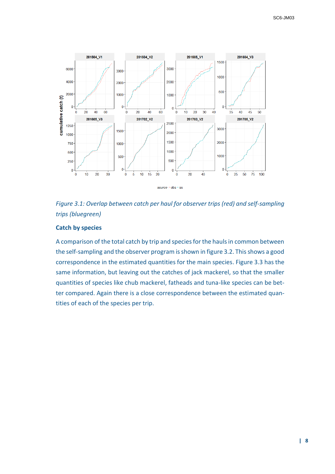



## **Catch by species**

A comparison of the total catch by trip and species for the hauls in common between the self-sampling and the observer program is shown in figure 3.2. This shows a good correspondence in the estimated quantities for the main species. Figure 3.3 has the same information, but leaving out the catches of jack mackerel, so that the smaller quantities of species like chub mackerel, fatheads and tuna-like species can be better compared. Again there is a close correspondence between the estimated quantities of each of the species per trip.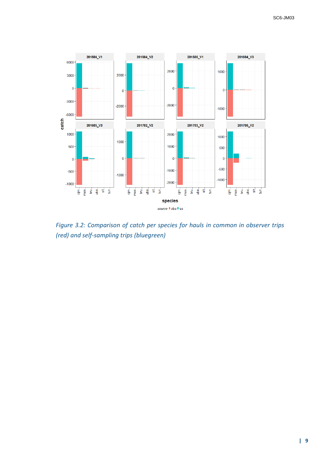

*Figure 3.2: Comparison of catch per species for hauls in common in observer trips (red) and self-sampling trips (bluegreen)*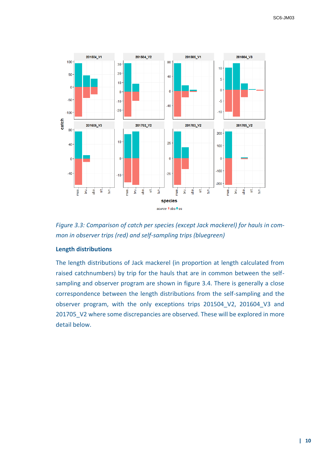

*Figure 3.3: Comparison of catch per species (except Jack mackerel) for hauls in common in observer trips (red) and self-sampling trips (bluegreen)*

## **Length distributions**

The length distributions of Jack mackerel (in proportion at length calculated from raised catchnumbers) by trip for the hauls that are in common between the selfsampling and observer program are shown in figure 3.4. There is generally a close correspondence between the length distributions from the self-sampling and the observer program, with the only exceptions trips 201504\_V2, 201604\_V3 and 201705 V2 where some discrepancies are observed. These will be explored in more detail below.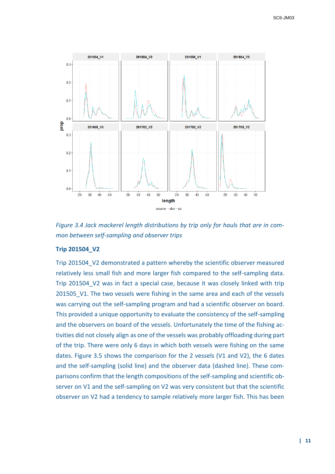

*Figure 3.4 Jack mackerel length distributions by trip only for hauls that are in common between self-sampling and observer trips*

### **Trip 201504\_V2**

Trip 201504 V2 demonstrated a pattern whereby the scientific observer measured relatively less small fish and more larger fish compared to the self-sampling data. Trip 201504 V2 was in fact a special case, because it was closely linked with trip 201505\_V1. The two vessels were fishing in the same area and each of the vessels was carrying out the self-sampling program and had a scientific observer on board. This provided a unique opportunity to evaluate the consistency of the self-sampling and the observers on board of the vessels. Unfortunately the time of the fishing activities did not closely align as one of the vessels was probably offloading during part of the trip. There were only 6 days in which both vessels were fishing on the same dates. Figure 3.5 shows the comparison for the 2 vessels (V1 and V2), the 6 dates and the self-sampling (solid line) and the observer data (dashed line). These comparisons confirm that the length compositions of the self-sampling and scientific observer on V1 and the self-sampling on V2 was very consistent but that the scientific observer on V2 had a tendency to sample relatively more larger fish. This has been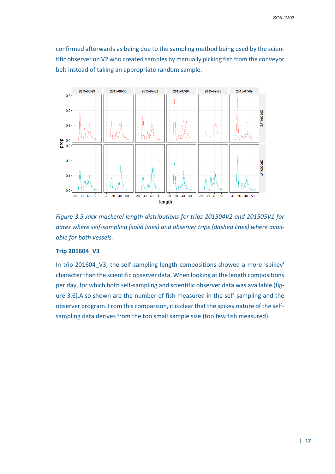confirmed afterwards as being due to the sampling method being used by the scientific observer on V2 who created samples by manually picking fish from the conveyor belt instead of taking an appropriate random sample.



*Figure 3.5 Jack mackerel length distributions for trips 201504V2 and 201505V1 for dates where self-sampling (solid lines) and observer trips (dashed lines) where available for both vessels.*

### **Trip 201604\_V3**

In trip 201604 V3, the self-sampling length compositions showed a more 'spikey' character than the scientific observer data. When looking at the length compositions per day, for which both self-sampling and scientific observer data was available (figure 3.6).Also shown are the number of fish measured in the self-sampling and the observer program. From this comparison, it is clear that the spikey nature of the selfsampling data derives from the too small sample size (too few fish measured).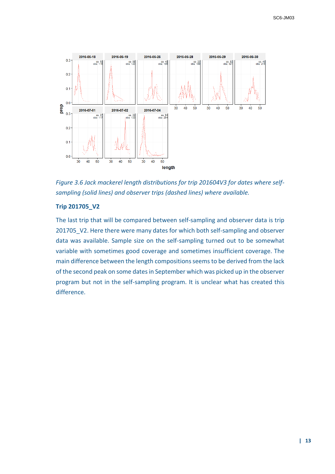

*Figure 3.6 Jack mackerel length distributions for trip 201604V3 for dates where selfsampling (solid lines) and observer trips (dashed lines) where available.*

## **Trip 201705\_V2**

The last trip that will be compared between self-sampling and observer data is trip 201705 V2. Here there were many dates for which both self-sampling and observer data was available. Sample size on the self-sampling turned out to be somewhat variable with sometimes good coverage and sometimes insufficient coverage. The main difference between the length compositions seems to be derived from the lack of the second peak on some dates in September which was picked up in the observer program but not in the self-sampling program. It is unclear what has created this difference.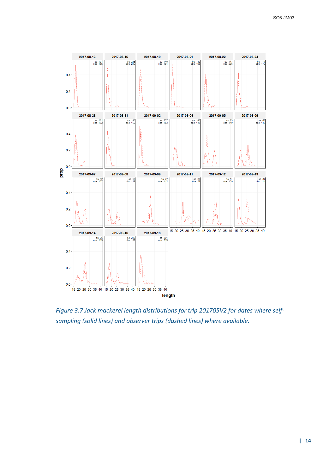

*Figure 3.7 Jack mackerel length distributions for trip 201705V2 for dates where selfsampling (solid lines) and observer trips (dashed lines) where available.*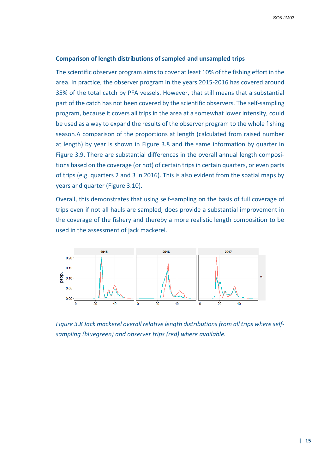#### **Comparison of length distributions of sampled and unsampled trips**

The scientific observer program aims to cover at least 10% of the fishing effort in the area. In practice, the observer program in the years 2015-2016 has covered around 35% of the total catch by PFA vessels. However, that still means that a substantial part of the catch has not been covered by the scientific observers. The self-sampling program, because it covers all trips in the area at a somewhat lower intensity, could be used as a way to expand the results of the observer program to the whole fishing season.A comparison of the proportions at length (calculated from raised number at length) by year is shown in Figure 3.8 and the same information by quarter in Figure 3.9. There are substantial differences in the overall annual length compositions based on the coverage (or not) of certain trips in certain quarters, or even parts of trips (e.g. quarters 2 and 3 in 2016). This is also evident from the spatial maps by years and quarter (Figure 3.10).

Overall, this demonstrates that using self-sampling on the basis of full coverage of trips even if not all hauls are sampled, does provide a substantial improvement in the coverage of the fishery and thereby a more realistic length composition to be used in the assessment of jack mackerel.



*Figure 3.8 Jack mackerel overall relative length distributions from all trips where selfsampling (bluegreen) and observer trips (red) where available.*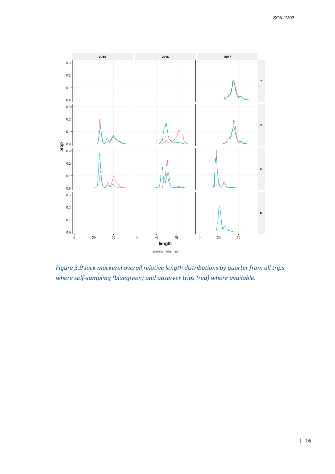

*Figure 3.9 Jack mackerel overall relative length distributions by quarter from all trips where self-sampling (bluegreen) and observer trips (red) where available.*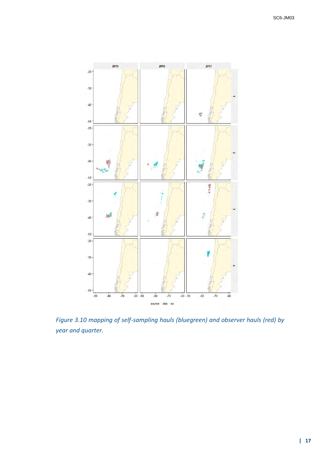

*Figure 3.10 mapping of self-sampling hauls (bluegreen) and observer hauls (red) by year and quarter.*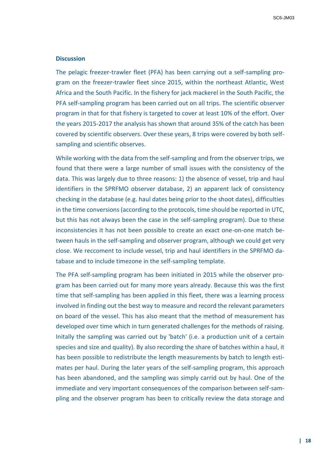#### **Discussion**

The pelagic freezer-trawler fleet (PFA) has been carrying out a self-sampling program on the freezer-trawler fleet since 2015, within the northeast Atlantic, West Africa and the South Pacific. In the fishery for jack mackerel in the South Pacific, the PFA self-sampling program has been carried out on all trips. The scientific observer program in that for that fishery is targeted to cover at least 10% of the effort. Over the years 2015-2017 the analysis has shown that around 35% of the catch has been covered by scientific observers. Over these years, 8 trips were covered by both selfsampling and scientific observes.

While working with the data from the self-sampling and from the observer trips, we found that there were a large number of small issues with the consistency of the data. This was largely due to three reasons: 1) the absence of vessel, trip and haul identifiers in the SPRFMO observer database, 2) an apparent lack of consistency checking in the database (e.g. haul dates being prior to the shoot dates), difficulties in the time conversions (according to the protocols, time should be reported in UTC, but this has not always been the case in the self-sampling program). Due to these inconsistencies it has not been possible to create an exact one-on-one match between hauls in the self-sampling and observer program, although we could get very close. We reccoment to include vessel, trip and haul identifiers in the SPRFMO database and to include timezone in the self-sampling template.

The PFA self-sampling program has been initiated in 2015 while the observer program has been carried out for many more years already. Because this was the first time that self-sampling has been applied in this fleet, there was a learning process involved in finding out the best way to measure and record the relevant parameters on board of the vessel. This has also meant that the method of measurement has developed over time which in turn generated challenges for the methods of raising. Initally the sampling was carried out by 'batch' (i.e. a production unit of a certain species and size and quality). By also recording the share of batches within a haul, it has been possible to redistribute the length measurements by batch to length estimates per haul. During the later years of the self-sampling program, this approach has been abandoned, and the sampling was simply carrid out by haul. One of the immediate and very important consequences of the comparison between self-sampling and the observer program has been to critically review the data storage and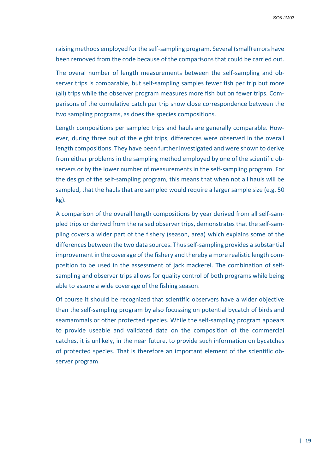raising methods employed for the self-sampling program. Several (small) errors have been removed from the code because of the comparisons that could be carried out.

The overal number of length measurements between the self-sampling and observer trips is comparable, but self-sampling samples fewer fish per trip but more (all) trips while the observer program measures more fish but on fewer trips. Comparisons of the cumulative catch per trip show close correspondence between the two sampling programs, as does the species compositions.

Length compositions per sampled trips and hauls are generally comparable. However, during three out of the eight trips, differences were observed in the overall length compositions. They have been further investigated and were shown to derive from either problems in the sampling method employed by one of the scientific observers or by the lower number of measurements in the self-sampling program. For the design of the self-sampling program, this means that when not all hauls will be sampled, that the hauls that are sampled would require a larger sample size (e.g. 50 kg).

A comparison of the overall length compositions by year derived from all self-sampled trips or derived from the raised observer trips, demonstrates that the self-sampling covers a wider part of the fishery (season, area) which explains some of the differences between the two data sources. Thus self-sampling provides a substantial improvement in the coverage of the fishery and thereby a more realistic length composition to be used in the assessment of jack mackerel. The combination of selfsampling and observer trips allows for quality control of both programs while being able to assure a wide coverage of the fishing season.

Of course it should be recognized that scientific observers have a wider objective than the self-sampling program by also focussing on potential bycatch of birds and seamammals or other protected species. While the self-sampling program appears to provide useable and validated data on the composition of the commercial catches, it is unlikely, in the near future, to provide such information on bycatches of protected species. That is therefore an important element of the scientific observer program.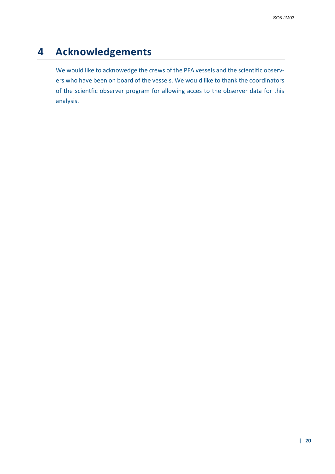# **4 Acknowledgements**

We would like to acknowedge the crews of the PFA vessels and the scientific observers who have been on board of the vessels. We would like to thank the coordinators of the scientfic observer program for allowing acces to the observer data for this analysis.